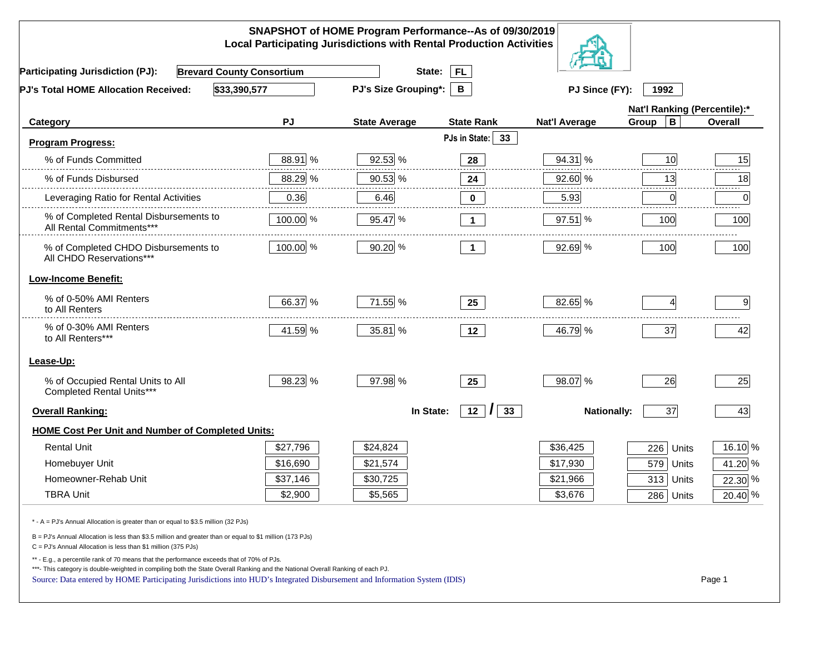| SNAPSHOT of HOME Program Performance--As of 09/30/2019<br><b>Local Participating Jurisdictions with Rental Production Activities</b>                                                                                                                                                                                                                     |           |                                  |                      |                        |                              |           |  |  |
|----------------------------------------------------------------------------------------------------------------------------------------------------------------------------------------------------------------------------------------------------------------------------------------------------------------------------------------------------------|-----------|----------------------------------|----------------------|------------------------|------------------------------|-----------|--|--|
| <b>Brevard County Consortium</b><br><b>Participating Jurisdiction (PJ):</b>                                                                                                                                                                                                                                                                              |           | State:                           | <b>FL</b>            |                        |                              |           |  |  |
| \$33,390,577<br>PJ's Total HOME Allocation Received:                                                                                                                                                                                                                                                                                                     |           | <b>PJ's Size Grouping*:</b><br>B |                      | PJ Since (FY):<br>1992 |                              |           |  |  |
|                                                                                                                                                                                                                                                                                                                                                          |           |                                  |                      |                        | Nat'l Ranking (Percentile):* |           |  |  |
| Category                                                                                                                                                                                                                                                                                                                                                 | <b>PJ</b> | <b>State Average</b>             | <b>State Rank</b>    | <b>Nat'l Average</b>   | $\mathbf B$<br>Group         | Overall   |  |  |
| <b>Program Progress:</b>                                                                                                                                                                                                                                                                                                                                 |           |                                  | PJs in State:<br>33  |                        |                              |           |  |  |
| % of Funds Committed                                                                                                                                                                                                                                                                                                                                     | 88.91 %   | 92.53 %                          | 28                   | 94.31 %                | 10                           | 15        |  |  |
| % of Funds Disbursed                                                                                                                                                                                                                                                                                                                                     | 88.29 %   | 90.53 %                          | 24                   | 92.60 %                | 13                           | 18        |  |  |
| Leveraging Ratio for Rental Activities                                                                                                                                                                                                                                                                                                                   | 0.36      | 6.46                             | $\mathbf 0$          | 5.93                   | 0                            | 0         |  |  |
| % of Completed Rental Disbursements to<br>All Rental Commitments***                                                                                                                                                                                                                                                                                      | 100.00 %  | 95.47 %                          | $\mathbf 1$          | 97.51 %                | 100                          | 100       |  |  |
| % of Completed CHDO Disbursements to<br>All CHDO Reservations***                                                                                                                                                                                                                                                                                         | 100.00 %  | 90.20 %                          | $\overline{1}$       | 92.69 %                | 100                          | 100       |  |  |
| <b>Low-Income Benefit:</b>                                                                                                                                                                                                                                                                                                                               |           |                                  |                      |                        |                              |           |  |  |
| % of 0-50% AMI Renters<br>to All Renters                                                                                                                                                                                                                                                                                                                 | 66.37 %   | 71.55 %                          | 25                   | 82.65 %                |                              | 9         |  |  |
| % of 0-30% AMI Renters<br>to All Renters***                                                                                                                                                                                                                                                                                                              | 41.59 %   | 35.81 %                          | 12                   | 46.79 %                | 37                           | 42        |  |  |
| Lease-Up:                                                                                                                                                                                                                                                                                                                                                |           |                                  |                      |                        |                              |           |  |  |
| % of Occupied Rental Units to All<br>Completed Rental Units***                                                                                                                                                                                                                                                                                           | 98.23 %   | 97.98 %                          | 25                   | 98.07 %                | 26                           | 25        |  |  |
| <b>Overall Ranking:</b>                                                                                                                                                                                                                                                                                                                                  |           | In State:                        | 12<br>33<br>$\prime$ | <b>Nationally:</b>     | 37                           | 43        |  |  |
| <b>HOME Cost Per Unit and Number of Completed Units:</b>                                                                                                                                                                                                                                                                                                 |           |                                  |                      |                        |                              |           |  |  |
| <b>Rental Unit</b>                                                                                                                                                                                                                                                                                                                                       | \$27,796  | \$24,824                         |                      | \$36,425               | 226<br>Units                 | 16.10 %   |  |  |
| Homebuyer Unit                                                                                                                                                                                                                                                                                                                                           | \$16,690  | \$21,574                         |                      | \$17,930               | 579<br>Units                 | 41.20 %   |  |  |
| Homeowner-Rehab Unit                                                                                                                                                                                                                                                                                                                                     | \$37,146  | \$30,725                         |                      | \$21,966               | 313 Units                    | 22.30 %   |  |  |
| <b>TBRA Unit</b>                                                                                                                                                                                                                                                                                                                                         | \$2,900   | \$5,565                          |                      | \$3,676                | 286 Units                    | $20.40\%$ |  |  |
| * - A = PJ's Annual Allocation is greater than or equal to \$3.5 million (32 PJs)                                                                                                                                                                                                                                                                        |           |                                  |                      |                        |                              |           |  |  |
| B = PJ's Annual Allocation is less than \$3.5 million and greater than or equal to \$1 million (173 PJs)<br>C = PJ's Annual Allocation is less than \$1 million (375 PJs)                                                                                                                                                                                |           |                                  |                      |                        |                              |           |  |  |
| ** - E.g., a percentile rank of 70 means that the performance exceeds that of 70% of PJs.<br>***- This category is double-weighted in compiling both the State Overall Ranking and the National Overall Ranking of each PJ.<br>Source: Data entered by HOME Participating Jurisdictions into HUD's Integrated Disbursement and Information System (IDIS) |           |                                  |                      |                        |                              | Page 1    |  |  |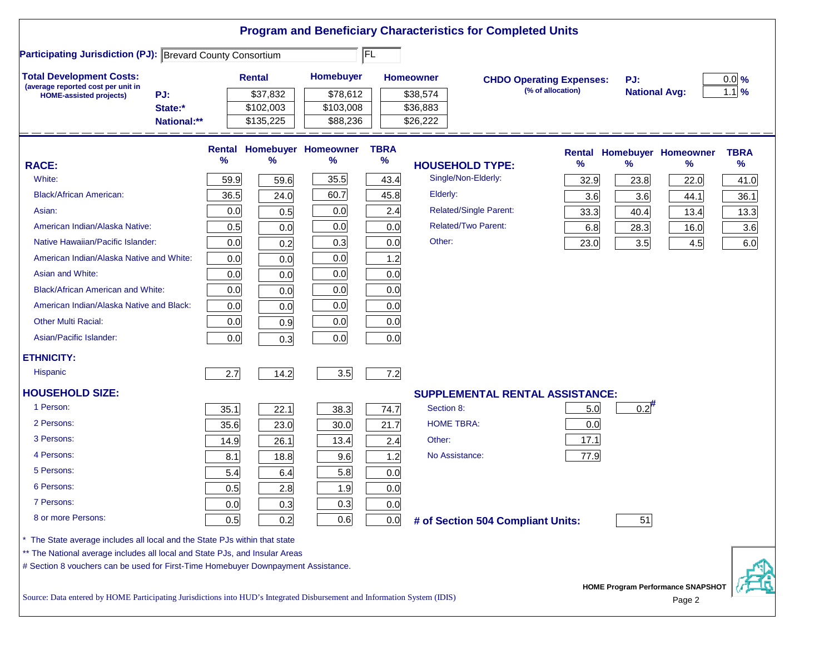|                                                                                                                           |               |               |                            |             |                        | <b>Program and Beneficiary Characteristics for Completed Units</b> |                                 |                      |                                          |             |
|---------------------------------------------------------------------------------------------------------------------------|---------------|---------------|----------------------------|-------------|------------------------|--------------------------------------------------------------------|---------------------------------|----------------------|------------------------------------------|-------------|
| <b>Participating Jurisdiction (PJ): Brevard County Consortium</b>                                                         |               |               |                            | FL          |                        |                                                                    |                                 |                      |                                          |             |
| <b>Total Development Costs:</b><br>(average reported cost per unit in                                                     |               | <b>Rental</b> | Homebuyer                  |             | <b>Homeowner</b>       |                                                                    | <b>CHDO Operating Expenses:</b> | PJ:                  |                                          | $0.0\%$     |
| PJ:<br><b>HOME-assisted projects)</b>                                                                                     |               | \$37,832      | \$78,612                   |             | \$38,574               |                                                                    | (% of allocation)               | <b>National Avg:</b> |                                          | $1.1\%$     |
| State:*                                                                                                                   |               | \$102,003     | \$103,008                  |             | \$36,883               |                                                                    |                                 |                      |                                          |             |
| National:**                                                                                                               |               | \$135,225     | \$88,236                   |             | \$26,222               |                                                                    |                                 |                      |                                          |             |
|                                                                                                                           | <b>Rental</b> |               | <b>Homebuyer Homeowner</b> | <b>TBRA</b> |                        |                                                                    |                                 |                      | <b>Rental Homebuyer Homeowner</b>        | <b>TBRA</b> |
| <b>RACE:</b>                                                                                                              | %             | %             | %                          | $\%$        | <b>HOUSEHOLD TYPE:</b> |                                                                    | ℅                               | $\%$                 | %                                        | %           |
| White:                                                                                                                    | 59.9          | 59.6          | 35.5                       | 43.4        | Single/Non-Elderly:    |                                                                    | 32.9                            | 23.8                 | 22.0                                     | 41.0        |
| <b>Black/African American:</b>                                                                                            | 36.5          | 24.0          | 60.7                       | 45.8        | Elderly:               |                                                                    | 3.6                             | 3.6                  | 44.1                                     | 36.1        |
| Asian:                                                                                                                    | 0.0           | 0.5           | 0.0                        | 2.4         |                        | <b>Related/Single Parent:</b>                                      | 33.3                            | 40.4                 | 13.4                                     | 13.3        |
| American Indian/Alaska Native:                                                                                            | 0.5           | 0.0           | 0.0                        | 0.0         |                        | <b>Related/Two Parent:</b>                                         | 6.8                             | 28.3                 | 16.0                                     | 3.6         |
| Native Hawaiian/Pacific Islander:                                                                                         | 0.0           | 0.2           | 0.3                        | 0.0         | Other:                 |                                                                    | 23.0                            | 3.5                  | 4.5                                      | 6.0         |
| American Indian/Alaska Native and White:                                                                                  | 0.0           | 0.0           | 0.0                        | 1.2         |                        |                                                                    |                                 |                      |                                          |             |
| Asian and White:                                                                                                          | 0.0           | 0.0           | 0.0                        | 0.0         |                        |                                                                    |                                 |                      |                                          |             |
| <b>Black/African American and White:</b>                                                                                  | 0.0           | 0.0           | 0.0                        | 0.0         |                        |                                                                    |                                 |                      |                                          |             |
| American Indian/Alaska Native and Black:                                                                                  | 0.0           | 0.0           | 0.0                        | 0.0         |                        |                                                                    |                                 |                      |                                          |             |
| <b>Other Multi Racial:</b>                                                                                                | 0.0           | 0.9           | 0.0                        | 0.0         |                        |                                                                    |                                 |                      |                                          |             |
| Asian/Pacific Islander:                                                                                                   | 0.0           | 0.3           | 0.0                        | 0.0         |                        |                                                                    |                                 |                      |                                          |             |
| <b>ETHNICITY:</b>                                                                                                         |               |               |                            |             |                        |                                                                    |                                 |                      |                                          |             |
| <b>Hispanic</b>                                                                                                           | 2.7           | 14.2          | 3.5                        | 7.2         |                        |                                                                    |                                 |                      |                                          |             |
| <b>HOUSEHOLD SIZE:</b>                                                                                                    |               |               |                            |             |                        | <b>SUPPLEMENTAL RENTAL ASSISTANCE:</b>                             |                                 |                      |                                          |             |
| 1 Person:                                                                                                                 | 35.1          | 22.1          | 38.3                       | 74.7        | Section 8:             |                                                                    | 5.0                             | $0.2^{#}$            |                                          |             |
| 2 Persons:                                                                                                                | 35.6          | 23.0          | 30.0                       | 21.7        | <b>HOME TBRA:</b>      |                                                                    | 0.0                             |                      |                                          |             |
| 3 Persons:                                                                                                                | 14.9          | 26.1          | 13.4                       | 2.4         | Other:                 |                                                                    | 17.1                            |                      |                                          |             |
| 4 Persons:                                                                                                                | 8.1           | 18.8          | 9.6                        | 1.2         | No Assistance:         |                                                                    | 77.9                            |                      |                                          |             |
| 5 Persons:                                                                                                                | 5.4           | 6.4           | 5.8                        | 0.0         |                        |                                                                    |                                 |                      |                                          |             |
| 6 Persons:                                                                                                                | 0.5           | 2.8           | 1.9                        | 0.0         |                        |                                                                    |                                 |                      |                                          |             |
| 7 Persons:                                                                                                                | 0.0           | 0.3           | 0.3                        | 0.0         |                        |                                                                    |                                 |                      |                                          |             |
| 8 or more Persons:                                                                                                        | 0.5           | 0.2           | 0.6                        | 0.0         |                        | # of Section 504 Compliant Units:                                  |                                 | 51                   |                                          |             |
| The State average includes all local and the State PJs within that state                                                  |               |               |                            |             |                        |                                                                    |                                 |                      |                                          |             |
| ** The National average includes all local and State PJs, and Insular Areas                                               |               |               |                            |             |                        |                                                                    |                                 |                      |                                          |             |
| # Section 8 vouchers can be used for First-Time Homebuyer Downpayment Assistance.                                         |               |               |                            |             |                        |                                                                    |                                 |                      |                                          |             |
|                                                                                                                           |               |               |                            |             |                        |                                                                    |                                 |                      | <b>HOME Program Performance SNAPSHOT</b> |             |
| Source: Data entered by HOME Participating Jurisdictions into HUD's Integrated Disbursement and Information System (IDIS) |               |               |                            |             |                        |                                                                    |                                 |                      | Page 2                                   |             |